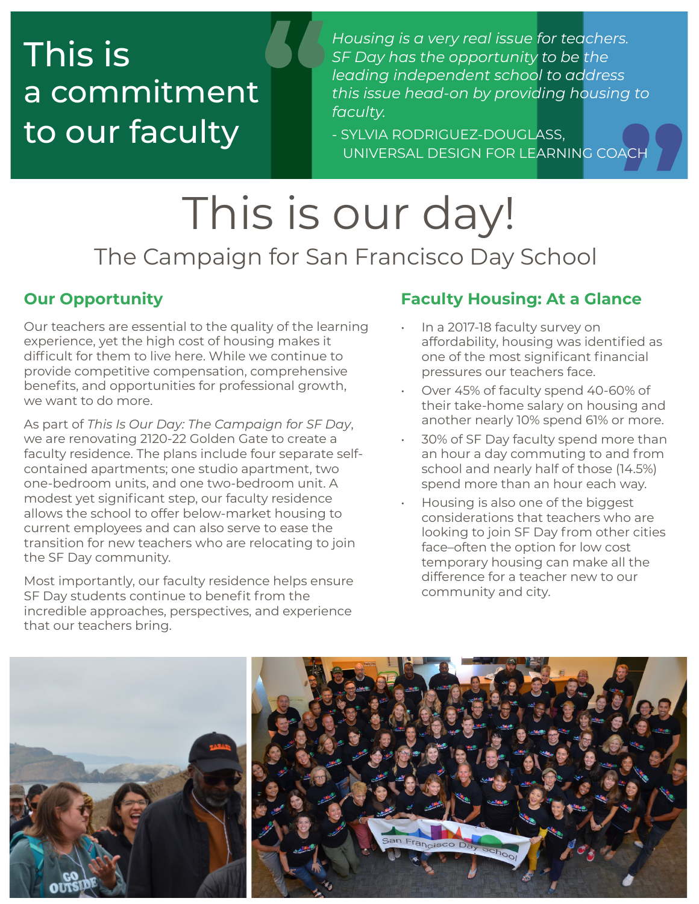## This is a commitment to our faculty **"**

*Housing is a very real issue for teachers. SF Day has the opportunity to be the leading independent school to address this issue head-on by providing housing to*  **"** *faculty.*

- SYLVIA RODRIGUEZ-DOUGLASS, UNIVERSAL DESIGN FOR LEARNING COAC

# This is our day! The Campaign for San Francisco Day School

### **Our Opportunity**

Our teachers are essential to the quality of the learning experience, yet the high cost of housing makes it difficult for them to live here. While we continue to provide competitive compensation, comprehensive benefits, and opportunities for professional growth, we want to do more.

As part of *This Is Our Day: The Campaign for SF Day*, we are renovating 2120-22 Golden Gate to create a faculty residence. The plans include four separate selfcontained apartments; one studio apartment, two one-bedroom units, and one two-bedroom unit. A modest yet significant step, our faculty residence allows the school to offer below-market housing to current employees and can also serve to ease the transition for new teachers who are relocating to join the SF Day community.

Most importantly, our faculty residence helps ensure SF Day students continue to benefit from the incredible approaches, perspectives, and experience that our teachers bring.

### **Faculty Housing: At a Glance**

- In a 2017-18 faculty survey on affordability, housing was identified as one of the most significant financial pressures our teachers face.
- Over 45% of faculty spend 40-60% of their take-home salary on housing and another nearly 10% spend 61% or more.
- 30% of SF Day faculty spend more than an hour a day commuting to and from school and nearly half of those (14.5%) spend more than an hour each way.
- Housing is also one of the biggest considerations that teachers who are looking to join SF Day from other cities face–often the option for low cost temporary housing can make all the difference for a teacher new to our community and city.